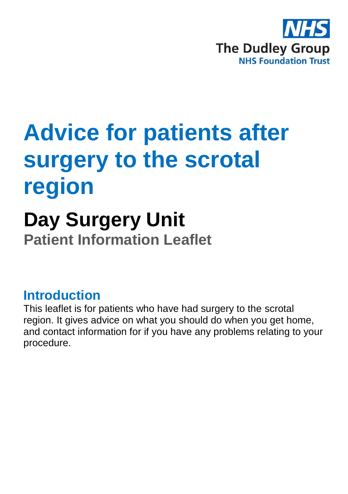

# **Advice for patients after surgery to the scrotal region**

## **Day Surgery Unit Patient Information Leaflet**

#### **Introduction**

This leaflet is for patients who have had surgery to the scrotal region. It gives advice on what you should do when you get home, and contact information for if you have any problems relating to your procedure.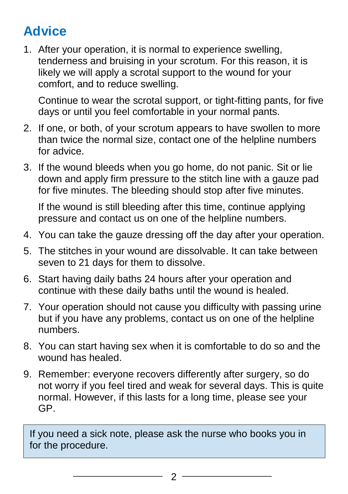## **Advice**

1. After your operation, it is normal to experience swelling, tenderness and bruising in your scrotum. For this reason, it is likely we will apply a scrotal support to the wound for your comfort, and to reduce swelling.

Continue to wear the scrotal support, or tight-fitting pants, for five days or until you feel comfortable in your normal pants.

- 2. If one, or both, of your scrotum appears to have swollen to more than twice the normal size, contact one of the helpline numbers for advice.
- 3. If the wound bleeds when you go home, do not panic. Sit or lie down and apply firm pressure to the stitch line with a gauze pad for five minutes. The bleeding should stop after five minutes.

If the wound is still bleeding after this time, continue applying pressure and contact us on one of the helpline numbers.

- 4. You can take the gauze dressing off the day after your operation.
- 5. The stitches in your wound are dissolvable. It can take between seven to 21 days for them to dissolve.
- 6. Start having daily baths 24 hours after your operation and continue with these daily baths until the wound is healed.
- 7. Your operation should not cause you difficulty with passing urine but if you have any problems, contact us on one of the helpline numbers.
- 8. You can start having sex when it is comfortable to do so and the wound has healed.
- 9. Remember: everyone recovers differently after surgery, so do not worry if you feel tired and weak for several days. This is quite normal. However, if this lasts for a long time, please see your GP.

If you need a sick note, please ask the nurse who books you in for the procedure.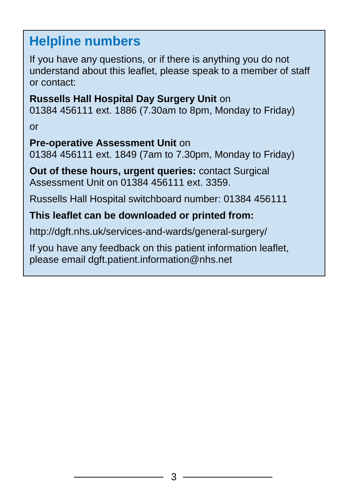### **Helpline numbers**

If you have any questions, or if there is anything you do not understand about this leaflet, please speak to a member of staff or contact:

**Russells Hall Hospital Day Surgery Unit** on 01384 456111 ext. 1886 (7.30am to 8pm, Monday to Friday) or

#### **Pre-operative Assessment Unit** on

01384 456111 ext. 1849 (7am to 7.30pm, Monday to Friday)

**Out of these hours, urgent queries:** contact Surgical Assessment Unit on 01384 456111 ext. 3359.

Russells Hall Hospital switchboard number: 01384 456111

#### **This leaflet can be downloaded or printed from:**

http://dgft.nhs.uk/services-and-wards/general-surgery/

If you have any feedback on this patient information leaflet, please email dgft.patient.information@nhs.net